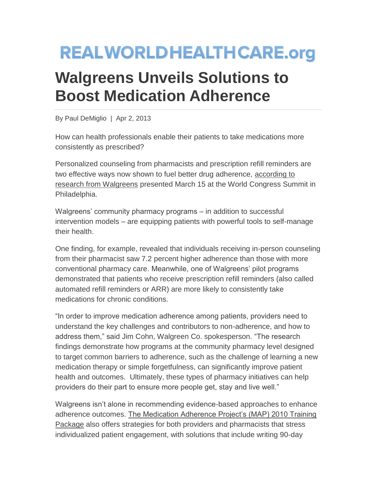## **REALWORLDHEALTHCARE.org**

## **Walgreens Unveils Solutions to Boost Medication Adherence**

By Paul DeMiglio | Apr 2, 2013

How can health professionals enable their patients to take medications more consistently as prescribed?

Personalized counseling from pharmacists and prescription refill reminders are two effective ways now shown to fuel better drug adherence, [according to](http://news.walgreens.com/article_display.cfm?article_id=5718)  [research from Walgreens](http://news.walgreens.com/article_display.cfm?article_id=5718) presented March 15 at the World Congress Summit in Philadelphia.

Walgreens' community pharmacy programs – in addition to successful intervention models – are equipping patients with powerful tools to self-manage their health.

One finding, for example, revealed that individuals receiving in-person counseling from their pharmacist saw 7.2 percent higher adherence than those with more conventional pharmacy care. Meanwhile, one of Walgreens' pilot programs demonstrated that patients who receive prescription refill reminders (also called automated refill reminders or ARR) are more likely to consistently take medications for chronic conditions.

"In order to improve medication adherence among patients, providers need to understand the key challenges and contributors to non-adherence, and how to address them," said Jim Cohn, Walgreen Co. spokesperson. "The research findings demonstrate how programs at the community pharmacy level designed to target common barriers to adherence, such as the challenge of learning a new medication therapy or simple forgetfulness, can significantly improve patient health and outcomes. Ultimately, these types of pharmacy initiatives can help providers do their part to ensure more people get, stay and live well."

Walgreens isn't alone in recommending evidence-based approaches to enhance adherence outcomes. [The Medication Adherence Project's \(MAP\) 2010 Training](http://www.nyc.gov/html/doh/downloads/pdf/cardio/cardio-map-tools-manual.pdf)  [Package](http://www.nyc.gov/html/doh/downloads/pdf/cardio/cardio-map-tools-manual.pdf) also offers strategies for both providers and pharmacists that stress individualized patient engagement, with solutions that include writing 90-day